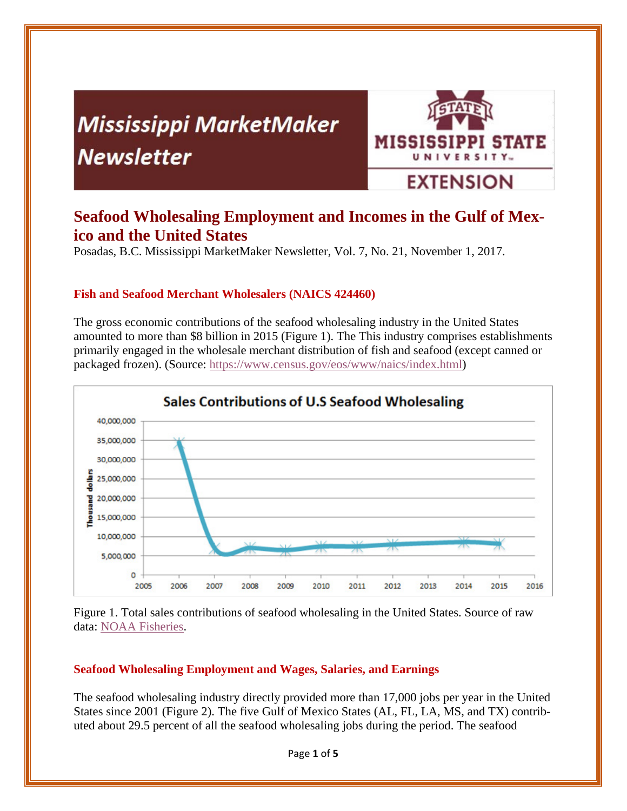# **Mississippi MarketMaker Newsletter**



## **Seafood Wholesaling Employment and Incomes in the Gulf of Mexico and the United States**

Posadas, B.C. Mississippi MarketMaker Newsletter, Vol. 7, No. 21, November 1, 2017.

#### **Fish and Seafood Merchant Wholesalers (NAICS 424460)**

The gross economic contributions of the seafood wholesaling industry in the United States amounted to more than \$8 billion in 2015 (Figure 1). The This industry comprises establishments primarily engaged in the wholesale merchant distribution of fish and seafood (except canned or packaged frozen). (Source: https://www.census.gov/eos/www/naics/index.html)



Figure 1. Total sales contributions of seafood wholesaling in the United States. Source of raw data: NOAA Fisheries.

#### **Seafood Wholesaling Employment and Wages, Salaries, and Earnings**

The seafood wholesaling industry directly provided more than 17,000 jobs per year in the United States since 2001 (Figure 2). The five Gulf of Mexico States (AL, FL, LA, MS, and TX) contributed about 29.5 percent of all the seafood wholesaling jobs during the period. The seafood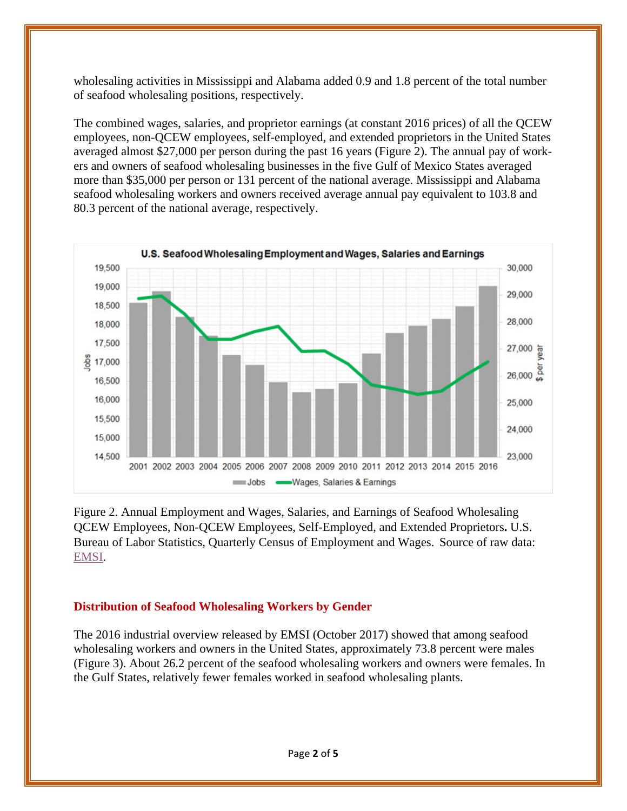wholesaling activities in Mississippi and Alabama added 0.9 and 1.8 percent of the total number of seafood wholesaling positions, respectively.

The combined wages, salaries, and proprietor earnings (at constant 2016 prices) of all the QCEW employees, non-QCEW employees, self-employed, and extended proprietors in the United States averaged almost \$27,000 per person during the past 16 years (Figure 2). The annual pay of workers and owners of seafood wholesaling businesses in the five Gulf of Mexico States averaged more than \$35,000 per person or 131 percent of the national average. Mississippi and Alabama seafood wholesaling workers and owners received average annual pay equivalent to 103.8 and 80.3 percent of the national average, respectively.



Figure 2. Annual Employment and Wages, Salaries, and Earnings of Seafood Wholesaling QCEW Employees, Non-QCEW Employees, Self-Employed, and Extended Proprietors**.** U.S. Bureau of Labor Statistics, Quarterly Census of Employment and Wages. Source of raw data: EMSI.

#### **Distribution of Seafood Wholesaling Workers by Gender**

The 2016 industrial overview released by EMSI (October 2017) showed that among seafood wholesaling workers and owners in the United States, approximately 73.8 percent were males (Figure 3). About 26.2 percent of the seafood wholesaling workers and owners were females. In the Gulf States, relatively fewer females worked in seafood wholesaling plants.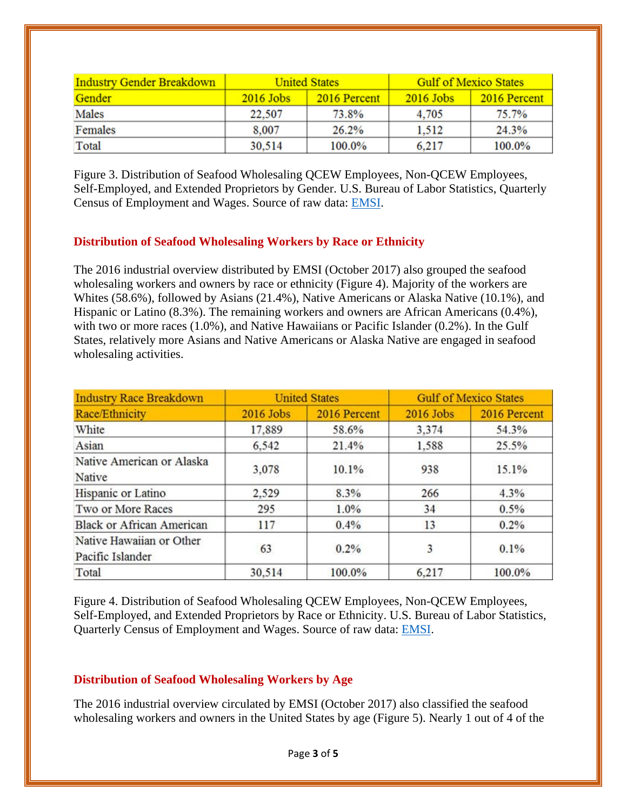| <b>Industry Gender Breakdown</b> | <b>United States</b> |              | <b>Gulf of Mexico States</b> |              |
|----------------------------------|----------------------|--------------|------------------------------|--------------|
| Gender                           | $2016$ Jobs          | 2016 Percent | $2016$ Jobs                  | 2016 Percent |
| Males                            | 22,507               | 73.8%        | 4.705                        | 75.7%        |
| Females                          | 8,007                | 26.2%        | 1.512                        | 24.3%        |
| Total                            | 30.514               | 100.0%       | 6.217                        | 100.0%       |

Figure 3. Distribution of Seafood Wholesaling QCEW Employees, Non-QCEW Employees, Self-Employed, and Extended Proprietors by Gender. U.S. Bureau of Labor Statistics, Quarterly Census of Employment and Wages. Source of raw data: EMSI.

#### **Distribution of Seafood Wholesaling Workers by Race or Ethnicity**

The 2016 industrial overview distributed by EMSI (October 2017) also grouped the seafood wholesaling workers and owners by race or ethnicity (Figure 4). Majority of the workers are Whites (58.6%), followed by Asians (21.4%), Native Americans or Alaska Native (10.1%), and Hispanic or Latino (8.3%). The remaining workers and owners are African Americans (0.4%), with two or more races (1.0%), and Native Hawaiians or Pacific Islander (0.2%). In the Gulf States, relatively more Asians and Native Americans or Alaska Native are engaged in seafood wholesaling activities.

| <b>Industry Race Breakdown</b>               | <b>United States</b> |              | <b>Gulf of Mexico States</b> |              |
|----------------------------------------------|----------------------|--------------|------------------------------|--------------|
| Race/Ethnicity                               | 2016 Jobs            | 2016 Percent | 2016 Jobs                    | 2016 Percent |
| White                                        | 17,889               | 58.6%        | 3,374                        | 54.3%        |
| Asian                                        | 6,542                | 21.4%        | 1,588                        | 25.5%        |
| Native American or Alaska<br>Native          | 3,078                | 10.1%        | 938                          | 15.1%        |
| Hispanic or Latino                           | 2,529                | 8.3%         | 266                          | 4.3%         |
| Two or More Races                            | 295                  | 1.0%         | 34                           | 0.5%         |
| <b>Black or African American</b>             | 117                  | 0.4%         | 13                           | 0.2%         |
| Native Hawaiian or Other<br>Pacific Islander | 63                   | 0.2%         | 3                            | 0.1%         |
| Total                                        | 30.514               | 100.0%       | 6.217                        | 100.0%       |

Figure 4. Distribution of Seafood Wholesaling QCEW Employees, Non-QCEW Employees, Self-Employed, and Extended Proprietors by Race or Ethnicity. U.S. Bureau of Labor Statistics, Quarterly Census of Employment and Wages. Source of raw data: EMSI.

#### **Distribution of Seafood Wholesaling Workers by Age**

The 2016 industrial overview circulated by EMSI (October 2017) also classified the seafood wholesaling workers and owners in the United States by age (Figure 5). Nearly 1 out of 4 of the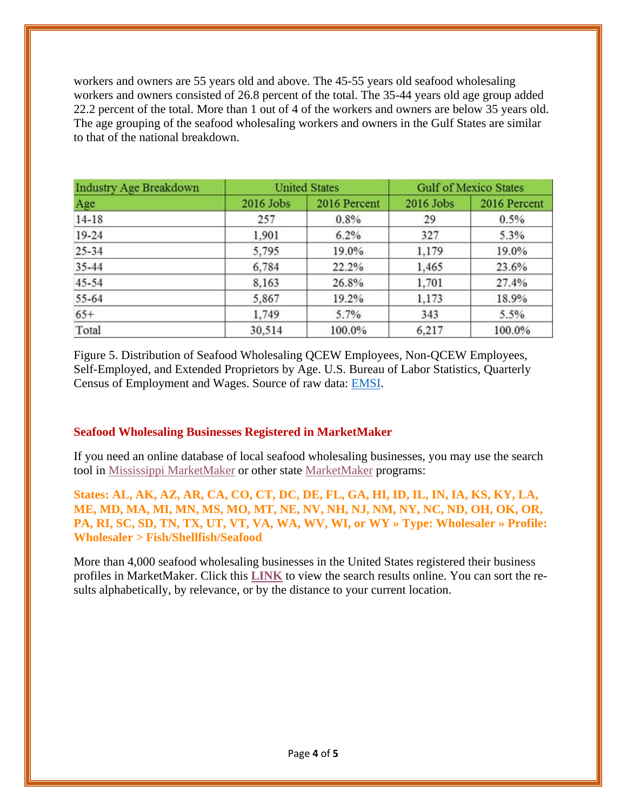workers and owners are 55 years old and above. The 45-55 years old seafood wholesaling workers and owners consisted of 26.8 percent of the total. The 35-44 years old age group added 22.2 percent of the total. More than 1 out of 4 of the workers and owners are below 35 years old. The age grouping of the seafood wholesaling workers and owners in the Gulf States are similar to that of the national breakdown.

| <b>Industry Age Breakdown</b> | <b>United States</b> |              | <b>Gulf of Mexico States</b> |              |
|-------------------------------|----------------------|--------------|------------------------------|--------------|
| Age                           | 2016 Jobs            | 2016 Percent | 2016 Jobs                    | 2016 Percent |
| $14 - 18$                     | 257                  | 0.8%         | 29                           | 0.5%         |
| $19 - 24$                     | 1,901                | 6.2%         | 327                          | 5.3%         |
| $25 - 34$                     | 5,795                | 19.0%        | 1.179                        | 19.0%        |
| $35 - 44$                     | 6,784                | 22.2%        | 1,465                        | 23.6%        |
| $45 - 54$                     | 8.163                | 26.8%        | 1.701                        | 27.4%        |
| 55-64                         | 5,867                | 19.2%        | 1,173                        | 18.9%        |
| $65+$                         | 1,749                | 5.7%         | 343                          | 5.5%         |
| Total                         | 30.514               | 100.0%       | 6.217                        | 100.0%       |

Figure 5. Distribution of Seafood Wholesaling QCEW Employees, Non-QCEW Employees, Self-Employed, and Extended Proprietors by Age. U.S. Bureau of Labor Statistics, Quarterly Census of Employment and Wages. Source of raw data: EMSI.

#### **Seafood Wholesaling Businesses Registered in MarketMaker**

If you need an online database of local seafood wholesaling businesses, you may use the search tool in Mississippi MarketMaker or other state MarketMaker programs:

**States: AL, AK, AZ, AR, CA, CO, CT, DC, DE, FL, GA, HI, ID, IL, IN, IA, KS, KY, LA, ME, MD, MA, MI, MN, MS, MO, MT, NE, NV, NH, NJ, NM, NY, NC, ND, OH, OK, OR, PA, RI, SC, SD, TN, TX, UT, VT, VA, WA, WV, WI, or WY » Type: Wholesaler » Profile: Wholesaler > Fish/Shellfish/Seafood** 

More than 4,000 seafood wholesaling businesses in the United States registered their business profiles in MarketMaker. Click this **LINK** to view the search results online. You can sort the results alphabetically, by relevance, or by the distance to your current location.